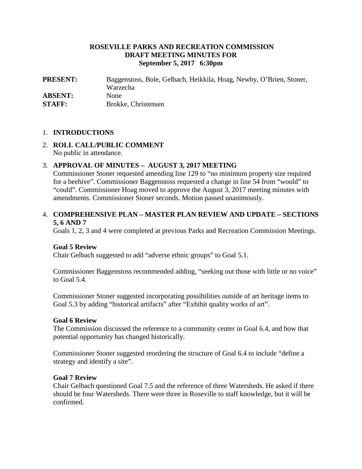# **ROSEVILLE PARKS AND RECREATION COMMISSION DRAFT MEETING MINUTES FOR September 5, 2017 6:30pm**

**PRESENT:** Baggenstoss, Bole, Gelbach, Heikkila, Hoag, Newby, O'Brien, Stoner, Warzecha **ABSENT:** None **STAFF:** Brokke, Christensen

#### 1. **INTRODUCTIONS**

# 2. **ROLL CALL/PUBLIC COMMENT** No public in attendance.

## 3. **APPROVAL OF MINUTES – AUGUST 3, 2017 MEETING**

Commissioner Stoner requested amending line 129 to "no minimum property size required for a beehive". Commissioner Baggenstoss requested a change in line 54 from "would" to "could". Commissioner Hoag moved to approve the August 3, 2017 meeting minutes with amendments. Commissioner Stoner seconds. Motion passed unanimously.

#### 4. **COMPREHENSIVE PLAN – MASTER PLAN REVIEW AND UPDATE – SECTIONS 5, 6 AND 7**

Goals 1, 2, 3 and 4 were completed at previous Parks and Recreation Commission Meetings.

#### **Goal 5 Review**

Chair Gelbach suggested to add "adverse ethnic groups" to Goal 5.1.

Commissioner Baggenstoss recommended adding, "seeking out those with little or no voice" to Goal 5.4.

Commissioner Stoner suggested incorporating possibilities outside of art heritage items to Goal 5.3 by adding "historical artifacts" after "Exhibit quality works of art".

#### **Goal 6 Review**

The Commission discussed the reference to a community center in Goal 6.4, and how that potential opportunity has changed historically.

Commissioner Stoner suggested reordering the structure of Goal 6.4 to include "define a strategy and identify a site".

#### **Goal 7 Review**

Chair Gelbach questioned Goal 7.5 and the reference of three Watersheds. He asked if there should be four Watersheds. There were three in Roseville to staff knowledge, but it will be confirmed.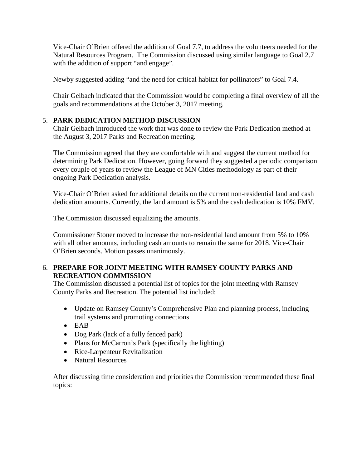Vice-Chair O'Brien offered the addition of Goal 7.7, to address the volunteers needed for the Natural Resources Program. The Commission discussed using similar language to Goal 2.7 with the addition of support "and engage".

Newby suggested adding "and the need for critical habitat for pollinators" to Goal 7.4.

Chair Gelbach indicated that the Commission would be completing a final overview of all the goals and recommendations at the October 3, 2017 meeting.

# 5. **PARK DEDICATION METHOD DISCUSSION**

Chair Gelbach introduced the work that was done to review the Park Dedication method at the August 3, 2017 Parks and Recreation meeting.

The Commission agreed that they are comfortable with and suggest the current method for determining Park Dedication. However, going forward they suggested a periodic comparison every couple of years to review the League of MN Cities methodology as part of their ongoing Park Dedication analysis.

Vice-Chair O'Brien asked for additional details on the current non-residential land and cash dedication amounts. Currently, the land amount is 5% and the cash dedication is 10% FMV.

The Commission discussed equalizing the amounts.

Commissioner Stoner moved to increase the non-residential land amount from 5% to 10% with all other amounts, including cash amounts to remain the same for 2018. Vice-Chair O'Brien seconds. Motion passes unanimously.

# 6. **PREPARE FOR JOINT MEETING WITH RAMSEY COUNTY PARKS AND RECREATION COMMISSION**

The Commission discussed a potential list of topics for the joint meeting with Ramsey County Parks and Recreation. The potential list included:

- Update on Ramsey County's Comprehensive Plan and planning process, including trail systems and promoting connections
- EAB
- Dog Park (lack of a fully fenced park)
- Plans for McCarron's Park (specifically the lighting)
- Rice-Larpenteur Revitalization
- Natural Resources

After discussing time consideration and priorities the Commission recommended these final topics: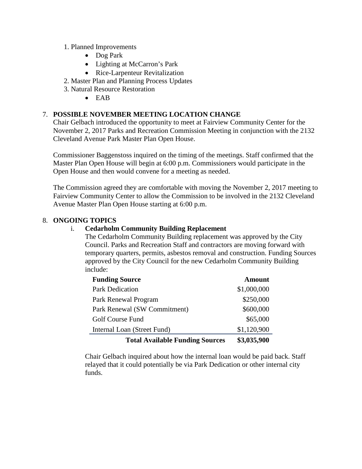- 1. Planned Improvements
	- Dog Park
	- Lighting at McCarron's Park
	- Rice-Larpenteur Revitalization
- 2. Master Plan and Planning Process Updates
- 3. Natural Resource Restoration
	- EAB

# 7. **POSSIBLE NOVEMBER MEETING LOCATION CHANGE**

Chair Gelbach introduced the opportunity to meet at Fairview Community Center for the November 2, 2017 Parks and Recreation Commission Meeting in conjunction with the 2132 Cleveland Avenue Park Master Plan Open House.

Commissioner Baggenstoss inquired on the timing of the meetings. Staff confirmed that the Master Plan Open House will begin at 6:00 p.m. Commissioners would participate in the Open House and then would convene for a meeting as needed.

The Commission agreed they are comfortable with moving the November 2, 2017 meeting to Fairview Community Center to allow the Commission to be involved in the 2132 Cleveland Avenue Master Plan Open House starting at 6:00 p.m.

## 8. **ONGOING TOPICS**

# i. **Cedarholm Community Building Replacement**

The Cedarholm Community Building replacement was approved by the City Council. Parks and Recreation Staff and contractors are moving forward with temporary quarters, permits, asbestos removal and construction. Funding Sources approved by the City Council for the new Cedarholm Community Building include:

| <b>Funding Source</b>                  | <b>Amount</b> |
|----------------------------------------|---------------|
| <b>Park Dedication</b>                 | \$1,000,000   |
| Park Renewal Program                   | \$250,000     |
| Park Renewal (SW Commitment)           | \$600,000     |
| Golf Course Fund                       | \$65,000      |
| Internal Loan (Street Fund)            | \$1,120,900   |
| <b>Total Available Funding Sources</b> | \$3,035,900   |

Chair Gelbach inquired about how the internal loan would be paid back. Staff relayed that it could potentially be via Park Dedication or other internal city funds.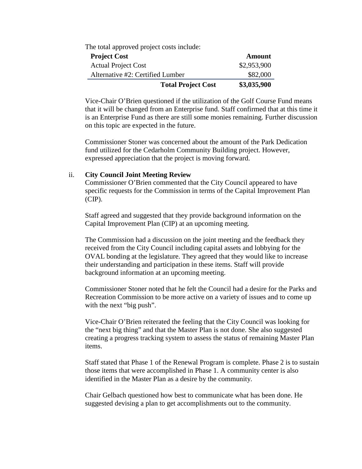| <b>Total Project Cost</b>                 | \$3,035,900   |
|-------------------------------------------|---------------|
| Alternative #2: Certified Lumber          | \$82,000      |
| <b>Actual Project Cost</b>                | \$2,953,900   |
| <b>Project Cost</b>                       | <b>Amount</b> |
| The total approved project costs include: |               |

Vice-Chair O'Brien questioned if the utilization of the Golf Course Fund means that it will be changed from an Enterprise fund. Staff confirmed that at this time it is an Enterprise Fund as there are still some monies remaining. Further discussion on this topic are expected in the future.

Commissioner Stoner was concerned about the amount of the Park Dedication fund utilized for the Cedarholm Community Building project. However, expressed appreciation that the project is moving forward.

#### ii. **City Council Joint Meeting Review**

Commissioner O'Brien commented that the City Council appeared to have specific requests for the Commission in terms of the Capital Improvement Plan (CIP).

Staff agreed and suggested that they provide background information on the Capital Improvement Plan (CIP) at an upcoming meeting.

The Commission had a discussion on the joint meeting and the feedback they received from the City Council including capital assets and lobbying for the OVAL bonding at the legislature. They agreed that they would like to increase their understanding and participation in these items. Staff will provide background information at an upcoming meeting.

Commissioner Stoner noted that he felt the Council had a desire for the Parks and Recreation Commission to be more active on a variety of issues and to come up with the next "big push".

Vice-Chair O'Brien reiterated the feeling that the City Council was looking for the "next big thing" and that the Master Plan is not done. She also suggested creating a progress tracking system to assess the status of remaining Master Plan items.

Staff stated that Phase 1 of the Renewal Program is complete. Phase 2 is to sustain those items that were accomplished in Phase 1. A community center is also identified in the Master Plan as a desire by the community.

Chair Gelbach questioned how best to communicate what has been done. He suggested devising a plan to get accomplishments out to the community.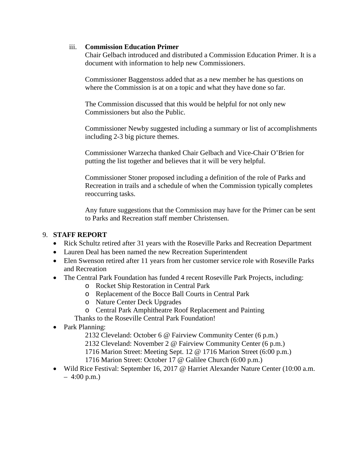#### iii. **Commission Education Primer**

Chair Gelbach introduced and distributed a Commission Education Primer. It is a document with information to help new Commissioners.

Commissioner Baggenstoss added that as a new member he has questions on where the Commission is at on a topic and what they have done so far.

The Commission discussed that this would be helpful for not only new Commissioners but also the Public.

Commissioner Newby suggested including a summary or list of accomplishments including 2-3 big picture themes.

Commissioner Warzecha thanked Chair Gelbach and Vice-Chair O'Brien for putting the list together and believes that it will be very helpful.

Commissioner Stoner proposed including a definition of the role of Parks and Recreation in trails and a schedule of when the Commission typically completes reoccurring tasks.

Any future suggestions that the Commission may have for the Primer can be sent to Parks and Recreation staff member Christensen.

## 9. **STAFF REPORT**

- Rick Schultz retired after 31 years with the Roseville Parks and Recreation Department
- Lauren Deal has been named the new Recreation Superintendent
- Elen Swenson retired after 11 years from her customer service role with Roseville Parks and Recreation
- The Central Park Foundation has funded 4 recent Roseville Park Projects, including:
	- o Rocket Ship Restoration in Central Park
	- o Replacement of the Bocce Ball Courts in Central Park
	- o Nature Center Deck Upgrades
	- o Central Park Amphitheatre Roof Replacement and Painting
	- Thanks to the Roseville Central Park Foundation!
- Park Planning:
	- 2132 Cleveland: October 6 @ Fairview Community Center (6 p.m.)
	- 2132 Cleveland: November 2 @ Fairview Community Center (6 p.m.)
	- 1716 Marion Street: Meeting Sept. 12 @ 1716 Marion Street (6:00 p.m.)
	- 1716 Marion Street: October 17 @ Galilee Church (6:00 p.m.)
- Wild Rice Festival: September 16, 2017 @ Harriet Alexander Nature Center (10:00 a.m.  $-4:00 \text{ p.m.}$